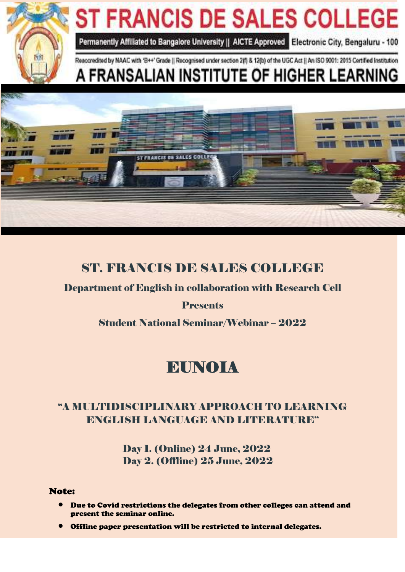

# ST. FRANCIS DE SALES COLLEGE

Department of English in collaboration with Research Cell

## **Presents**

Student National Seminar/Webinar – 2022

# EUNOIA

# "A MULTIDISCIPLINARY APPROACH TO LEARNING ENGLISH LANGUAGE AND LITERATURE''

 Day 1. (Online) 24 June, 2022 Day 2. (Offline) 25 June, 2022

#### Note:

- Due to Covid restrictions the delegates from other colleges can attend and present the seminar online.
- Offline paper presentation will be restricted to internal delegates.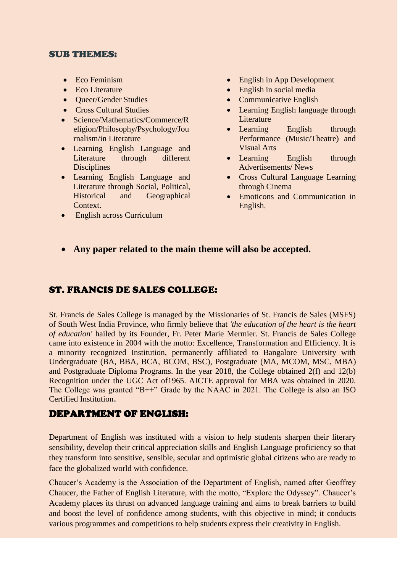#### SUB THEMES:

- Eco Feminism
- Eco Literature
- Oueer/Gender Studies
- Cross Cultural Studies
- Science/Mathematics/Commerce/R eligion/Philosophy/Psychology/Jou rnalism/in Literature
- Learning English Language and Literature through different **Disciplines**
- Learning English Language and Literature through Social, Political, Historical and Geographical Context.
- English across Curriculum
- English in App Development
- English in social media
- Communicative English
- Learning English language through Literature
- Learning English through Performance (Music/Theatre) and Visual Arts
- Learning English through Advertisements/ News
- Cross Cultural Language Learning through Cinema
- Emoticons and Communication in English.
- **Any paper related to the main theme will also be accepted.**

## ST. FRANCIS DE SALES COLLEGE:

St. Francis de Sales College is managed by the Missionaries of St. Francis de Sales (MSFS) of South West India Province, who firmly believe that *'the education of the heart is the heart of education'* hailed by its Founder, Fr. Peter Marie Mermier. St. Francis de Sales College came into existence in 2004 with the motto: Excellence, Transformation and Efficiency. It is a minority recognized Institution, permanently affiliated to Bangalore University with Undergraduate (BA, BBA, BCA, BCOM, BSC), Postgraduate (MA, MCOM, MSC, MBA) and Postgraduate Diploma Programs. In the year 2018, the College obtained 2(f) and 12(b) Recognition under the UGC Act of1965. AICTE approval for MBA was obtained in 2020. The College was granted "B++" Grade by the NAAC in 2021. The College is also an ISO Certified Institution.

## DEPARTMENT OF ENGLISH:

Department of English was instituted with a vision to help students sharpen their literary sensibility, develop their critical appreciation skills and English Language proficiency so that they transform into sensitive, sensible, secular and optimistic global citizens who are ready to face the globalized world with confidence.

Chaucer's Academy is the Association of the Department of English, named after Geoffrey Chaucer, the Father of English Literature, with the motto, "Explore the Odyssey". Chaucer's Academy places its thrust on advanced language training and aims to break barriers to build and boost the level of confidence among students, with this objective in mind; it conducts various programmes and competitions to help students express their creativity in English.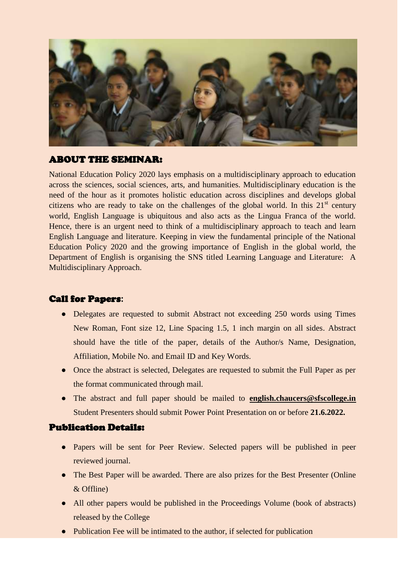

## ABOUT THE SEMINAR:

National Education Policy 2020 lays emphasis on a multidisciplinary approach to education across the sciences, social sciences, arts, and humanities. Multidisciplinary education is the need of the hour as it promotes holistic education across disciplines and develops global citizens who are ready to take on the challenges of the global world. In this  $21<sup>st</sup>$  century world, English Language is ubiquitous and also acts as the Lingua Franca of the world. Hence, there is an urgent need to think of a multidisciplinary approach to teach and learn English Language and literature. Keeping in view the fundamental principle of the National Education Policy 2020 and the growing importance of English in the global world, the Department of English is organising the SNS titled Learning Language and Literature: A Multidisciplinary Approach.

## Call for Papers**:**

- Delegates are requested to submit Abstract not exceeding 250 words using Times New Roman, Font size 12, Line Spacing 1.5, 1 inch margin on all sides. Abstract should have the title of the paper, details of the Author/s Name, Designation, Affiliation, Mobile No. and Email ID and Key Words.
- Once the abstract is selected, Delegates are requested to submit the Full Paper as per the format communicated through mail.
- The abstract and full paper should be mailed to **[english.chaucers@sfscollege.in](mailto:english.chaucers@sfscollege.in)** Student Presenters should submit Power Point Presentation on or before **21.6.2022.**

#### Publication Details:

- Papers will be sent for Peer Review. Selected papers will be published in peer reviewed journal.
- The Best Paper will be awarded. There are also prizes for the Best Presenter (Online & Offline)
- All other papers would be published in the Proceedings Volume (book of abstracts) released by the College
- Publication Fee will be intimated to the author, if selected for publication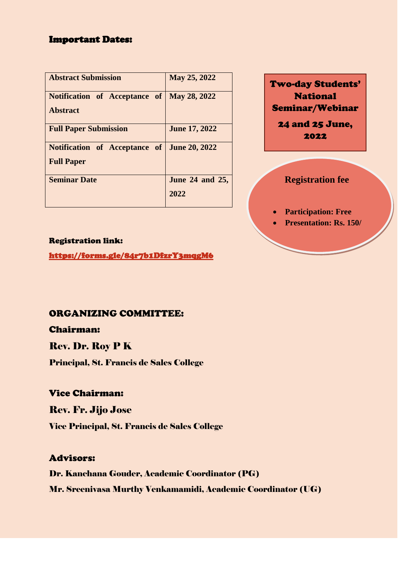## Important Dates:

| <b>Abstract Submission</b>                         | May 25, 2022         |
|----------------------------------------------------|----------------------|
| Notification of Acceptance of   May 28, 2022       |                      |
| <b>Abstract</b>                                    |                      |
| <b>Full Paper Submission</b>                       | <b>June 17, 2022</b> |
| <b>Notification</b> of Acceptance of June 20, 2022 |                      |
| <b>Full Paper</b>                                  |                      |
| <b>Seminar Date</b>                                | June 24 and 25,      |
|                                                    | 2022                 |

Two-day Students' National Seminar/Webinar 24 and 25 June,

2022

## **Registration fee**

**Participation: Free**

**Presentation: Rs. 150/**

#### Registration link:

<https://forms.gle/84r7b1DfzrY3mqgM6>

## ORGANIZING COMMITTEE:

Chairman:

## Rev. Dr. Roy P K

Principal, St. Francis de Sales College

## Vice Chairman:

Rev. Fr. Jijo Jose

Vice Principal, St. Francis de Sales College

## Advisors:

Dr. Kanchana Gouder, Academic Coordinator (PG) Mr. Sreenivasa Murthy Venkamamidi, Academic Coordinator (UG)